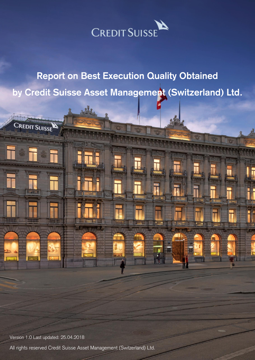

# **Report on Best Execution Quality Obtained** by Credit Suisse Asset Management (Switzerland) Ltd.

mm

**ISSE** 

**TOMA** 

**Mariation** 

**INDEPENDENT** 

**MANITE** 

**Base** 



**CREDIT SUISSE** 

Trium

**TEETERS** 

1111111

WWW

All rights reserved Credit Suisse Asset Management (Switzerland) Ltd.

un !!

**RADA** 

۳Ť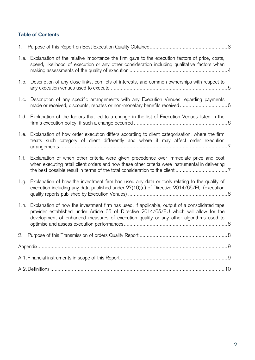# **Table of Contents**

| 1.   |                                                                                                                                                                                                                                                                                  |  |  |  |
|------|----------------------------------------------------------------------------------------------------------------------------------------------------------------------------------------------------------------------------------------------------------------------------------|--|--|--|
| 1.a. | Explanation of the relative importance the firm gave to the execution factors of price, costs,<br>speed, likelihood of execution or any other consideration including qualitative factors when                                                                                   |  |  |  |
|      | 1.b. Description of any close links, conflicts of interests, and common ownerships with respect to                                                                                                                                                                               |  |  |  |
| 1.c. | Description of any specific arrangements with any Execution Venues regarding payments                                                                                                                                                                                            |  |  |  |
|      | 1.d. Explanation of the factors that led to a change in the list of Execution Venues listed in the                                                                                                                                                                               |  |  |  |
|      | 1.e. Explanation of how order execution differs according to client categorisation, where the firm<br>treats such category of client differently and where it may affect order execution                                                                                         |  |  |  |
| 1.f. | Explanation of when other criteria were given precedence over immediate price and cost<br>when executing retail client orders and how these other criteria were instrumental in delivering<br>the best possible result in terms of the total consideration to the client 7       |  |  |  |
| 1.g. | Explanation of how the investment firm has used any data or tools relating to the quality of<br>execution including any data published under 27(10)(a) of Directive 2014/65/EU (execution                                                                                        |  |  |  |
| 1.h. | Explanation of how the investment firm has used, if applicable, output of a consolidated tape<br>provider established under Article 65 of Directive 2014/65/EU which will allow for the<br>development of enhanced measures of execution quality or any other algorithms used to |  |  |  |
| 2.   |                                                                                                                                                                                                                                                                                  |  |  |  |
|      |                                                                                                                                                                                                                                                                                  |  |  |  |
|      |                                                                                                                                                                                                                                                                                  |  |  |  |
|      |                                                                                                                                                                                                                                                                                  |  |  |  |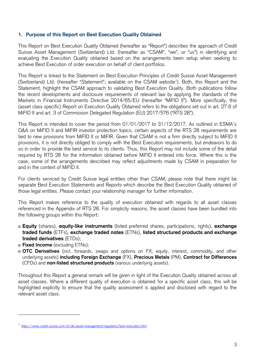# <span id="page-2-0"></span>**1. Purpose of this Report on Best Execution Quality Obtained**

This Report on Best Execution Quality Obtained (hereafter as "Report") describes the approach of Credit Suisse Asset Management (Switzerland) Ltd. (hereafter as "CSAM", "we", or "us") in identifying and evaluating the Execution Quality obtained based on the arrangements been setup when seeking to achieve Best Execution of order execution on behalf of client portfolios.

This Report is linked to the Statement on Best Execution Principles of Credit Suisse Asset Management (Switzerland) Ltd. (hereafter "Statement"; available on the CSAM website<sup>1</sup>). Both, this Report and the Statement, highlight the CSAM approach to validating Best Execution Quality. Both publications follow the recent developments and disclosure requirements of relevant law by applying the standards of the Markets in Financial Instruments Directive 2014/65/EU (hereafter "MiFID II"). More specifically, this (asset class specific) Report on Execution Quality Obtained refers to the obligations set out in art. 27.6 of MiFID II and art. 3 of Commission Delegated Regulation (EU) 2017/576 ("RTS 28").

This Report is intended to cover the period from 01/01/2017 to 31/12/2017. As outlined in ESMA's Q&A on MiFID II and MiFIR investor protection topics, certain aspects of the RTS 28 requirements are tied to new provisions from MiFID II or MiFIR. Given that CSAM is not a firm directly subject to MiFID II provisions, it is not directly obliged to comply with the Best Execution requirements, but endeavors to do so in order to provide the best service to its clients. Thus, this Report may not include some of the detail required by RTS 28 for the information obtained before MiFID II entered into force. Where this is the case, some of the arrangements described may reflect adjustments made by CSAM in preparation for and in the context of MiFID II.

For clients serviced by Credit Suisse legal entities other than CSAM, please note that there might be separate Best Execution Statements and Reports which describe the Best Execution Quality obtained of those legal entities. Please contact your relationship manager for further information.

This Report makes reference to the quality of execution obtained with regards to all asset classes referenced in the Appendix of RTS 28. For simplicity reasons, the asset classes have been bundled into the following groups within this Report:

- **Equity** (shares), **equity-like instruments** (listed preferred shares, participations, rights), **exchange traded funds** (ETFs), **exchange traded notes** (ETNs), **listed structured products and exchange traded derivatives** (ETDs);
- **Fixed Income** (excluding ETNs);

 $\overline{a}$ 

**OTC Derivatives** (incl. forwards, swaps and options on FX, equity, interest, commodity, and other underlying assets) **including Foreign Exchange** (FX), **Precious Metals** (PM), **Contract for Differences** (CFDs) and **non-listed structured products** (various underlying assets).

Throughout this Report a general remark will be given in light of the Execution Quality obtained across all asset classes. Where a different quality of execution is obtained for a specific asset class, this will be highlighted explicitly to ensure that the quality assessment is applied and disclosed with regard to the relevant asset class.

<sup>1</sup> <https://www.credit-suisse.com/ch/de/asset-management/regulatory/best-execution.html>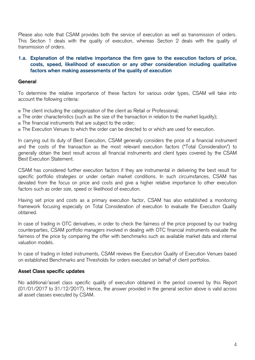Please also note that CSAM provides both the service of execution as well as transmission of orders. This Section [1](#page-2-0) deals with the quality of execution, whereas Section [2](#page-7-2) deals with the quality of transmission of orders.

#### <span id="page-3-0"></span>**1.a. Explanation of the relative importance the firm gave to the execution factors of price, costs, speed, likelihood of execution or any other consideration including qualitative factors when making assessments of the quality of execution**

#### **General**

To determine the relative importance of these factors for various order types, CSAM will take into account the following criteria:

■ The client including the categorization of the client as Retail or Professional;

- The order characteristics (such as the size of the transaction in relation to the market liquidity);
- The financial instruments that are subject to the order;
- The Execution Venues to which the order can be directed to or which are used for execution.

In carrying out its duty of Best Execution, CSAM generally considers the price of a financial instrument and the costs of the transaction as the most relevant execution factors ("Total Consideration") to generally obtain the best result across all financial instruments and client types covered by the CSAM Best Execution Statement.

CSAM has considered further execution factors if they are instrumental in delivering the best result for specific portfolio strategies or under certain market conditions. In such circumstances, CSAM has deviated from the focus on price and costs and give a higher relative importance to other execution factors such as order size, speed or likelihood of execution.

Having set price and costs as a primary execution factor, CSAM has also established a monitoring framework focusing especially on Total Consideration of execution to evaluate the Execution Quality obtained.

In case of trading in OTC derivatives, in order to check the fairness of the price proposed by our trading counterparties, CSAM portfolio managers involved in dealing with OTC financial instruments evaluate the fairness of the price by comparing the offer with benchmarks such as available market data and internal valuation models.

In case of trading in listed instruments, CSAM reviews the Execution Quality of Execution Venues based on established Benchmarks and Thresholds for orders executed on behalf of client portfolios.

# **Asset Class specific updates**

No additional/asset class specific quality of execution obtained in the period covered by this Report (01/01/2017 to 31/12/2017). Hence, the answer provided in the general section above is valid across all asset classes executed by CSAM.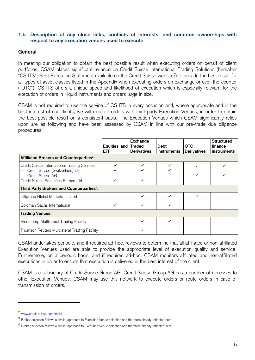#### <span id="page-4-0"></span>**1.b. Description of any close links, conflicts of interests, and common ownerships with respect to any execution venues used to execute**

#### **General**

In meeting our obligation to obtain the best possible result when executing orders on behalf of client portfolios, CSAM places significant reliance on Credit Suisse International Trading Solutions (hereafter "CS ITS"; Best Execution Statement available on the Credit Suisse website<sup>2</sup>) to provide the best result for all types of asset classes listed in the Appendix when executing orders on exchange or over-the-counter ("OTC"). CS ITS offers a unique speed and likelihood of execution which is especially relevant for the execution of orders in illiquid instruments and orders large in size.

CSAM is not required to use the service of CS ITS in every occasion and, where appropriate and in the best interest of our clients, we will execute orders with third party Execution Venues, in order to obtain the best possible result on a consistent basis. The Execution Venues which CSAM significantly relies upon are as following and have been assessed by CSAM in line with our pre-trade due diligence procedures:

|                                                                                                                                              | Equities and Traded<br><b>ETF</b> | <b>Exchange</b><br><b>Derivatives</b> | <b>Debt</b><br>instruments | <b>OTC</b><br><b>Derivatives</b> | <b>Structured</b><br>finance<br>instruments |  |
|----------------------------------------------------------------------------------------------------------------------------------------------|-----------------------------------|---------------------------------------|----------------------------|----------------------------------|---------------------------------------------|--|
| <b>Affiliated Brokers and Counterparties<sup>3</sup>:</b>                                                                                    |                                   |                                       |                            |                                  |                                             |  |
| Credit Suisse International Trading Services<br>Credit Suisse (Switzerland) Ltd.<br>Credit Suisse AG<br>Credit Suisse Securities Europe Ltd. |                                   |                                       |                            |                                  |                                             |  |
| Third Party Brokers and Counterparties <sup>4</sup> :                                                                                        |                                   |                                       |                            |                                  |                                             |  |
| Citigroup Global Markets Limited                                                                                                             |                                   |                                       |                            | ✓                                |                                             |  |
| Goldman Sachs International                                                                                                                  |                                   |                                       |                            |                                  |                                             |  |
| <b>Trading Venues:</b>                                                                                                                       |                                   |                                       |                            |                                  |                                             |  |
| Bloomberg Multilateral Trading Facility                                                                                                      |                                   |                                       |                            |                                  |                                             |  |
| Thomson Reuters Multilateral Trading Facility                                                                                                |                                   |                                       |                            |                                  |                                             |  |

CSAM undertakes periodic, and if required ad-hoc, reviews to determine that all affiliated or non-affiliated Execution Venues used are able to provide the appropriate level of execution quality and service. Furthermore, on a periodic basis, and if required ad-hoc, CSAM monitors affiliated and non-affiliated executions in order to ensure that execution is delivered in the best interest of the client.

CSAM is a subsidiary of Credit Suisse Group AG. Credit Suisse Group AG has a number of accesses to other Execution Venues. CSAM may use this network to execute orders or route orders in case of transmission of orders.

l

<sup>2</sup> [www.credit-suisse.com/mifid](http://www.credit-suisse.com/mifid)

 $^3$  Broker selection follows a similar approach to Execution Venue selection and therefore already reflected here.

 $^4$  Broker selection follows a similar approach to Execution Venue selection and therefore already reflected here.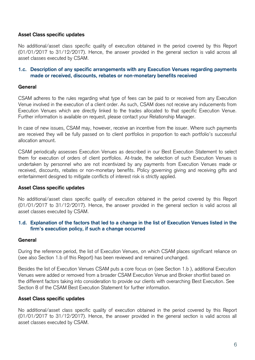## **Asset Class specific updates**

No additional/asset class specific quality of execution obtained in the period covered by this Report (01/01/2017 to 31/12/2017). Hence, the answer provided in the general section is valid across all asset classes executed by CSAM.

#### <span id="page-5-0"></span>**1.c. Description of any specific arrangements with any Execution Venues regarding payments made or received, discounts, rebates or non-monetary benefits received**

#### **General**

CSAM adheres to the rules regarding what type of fees can be paid to or received from any Execution Venue involved in the execution of a client order. As such, CSAM does not receive any inducements from Execution Venues which are directly linked to the trades allocated to that specific Execution Venue. Further information is available on request, please contact your Relationship Manager.

In case of new issues, CSAM may, however, receive an incentive from the issuer. Where such payments are received they will be fully passed on to client portfolios in proportion to each portfolio's successful allocation amount.

CSAM periodically assesses Execution Venues as described in our Best Execution Statement to select them for execution of orders of client portfolios. At-trade, the selection of such Execution Venues is undertaken by personnel who are not incentivized by any payments from Execution Venues made or received, discounts, rebates or non-monetary benefits. Policy governing giving and receiving gifts and entertainment designed to mitigate conflicts of interest risk is strictly applied.

#### **Asset Class specific updates**

No additional/asset class specific quality of execution obtained in the period covered by this Report (01/01/2017 to 31/12/2017). Hence, the answer provided in the general section is valid across all asset classes executed by CSAM.

## <span id="page-5-1"></span>**1.d. Explanation of the factors that led to a change in the list of Execution Venues listed in the firm's execution policy, if such a change occurred**

#### **General**

During the reference period, the list of Execution Venues, on which CSAM places significant reliance on (see also Section [1.b](#page-4-0) of this Report) has been reviewed and remained unchanged.

Besides the list of Execution Venues CSAM puts a core focus on (see Section [1.b](#page-4-0) ), additional Execution Venues were added or removed from a broader CSAM Execution Venue and Broker shortlist based on the different factors taking into consideration to provide our clients with overarching Best Execution. See Section 8 of the CSAM Best Execution Statement for further information.

#### **Asset Class specific updates**

No additional/asset class specific quality of execution obtained in the period covered by this Report (01/01/2017 to 31/12/2017). Hence, the answer provided in the general section is valid across all asset classes executed by CSAM.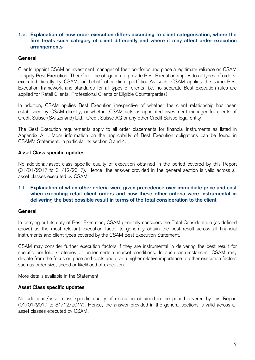#### <span id="page-6-0"></span>**1.e. Explanation of how order execution differs according to client categorisation, where the firm treats such category of client differently and where it may affect order execution arrangements**

### **General**

Clients appoint CSAM as investment manager of their portfolios and place a legitimate reliance on CSAM to apply Best Execution. Therefore, the obligation to provide Best Execution applies to all types of orders, executed directly by CSAM, on behalf of a client portfolio. As such, CSAM applies the same Best Execution framework and standards for all types of clients (i.e. no separate Best Execution rules are applied for Retail Clients, Professional Clients or Eligible Counterparties).

In addition, CSAM applies Best Execution irrespective of whether the client relationship has been established by CSAM directly, or whether CSAM acts as appointed investment manager for clients of Credit Suisse (Switzerland) Ltd., Credit Suisse AG or any other Credit Suisse legal entity.

The Best Execution requirements apply to all order placements for financial instruments as listed in Appendix [A.1.](#page-8-1) More information on the applicability of Best Execution obligations can be found in CSAM's Statement, in particular its section 3 and 4.

## **Asset Class specific updates**

No additional/asset class specific quality of execution obtained in the period covered by this Report (01/01/2017 to 31/12/2017). Hence, the answer provided in the general section is valid across all asset classes executed by CSAM.

<span id="page-6-1"></span>**1.f. Explanation of when other criteria were given precedence over immediate price and cost when executing retail client orders and how these other criteria were instrumental in delivering the best possible result in terms of the total consideration to the client** 

#### **General**

In carrying out its duty of Best Execution, CSAM generally considers the Total Consideration (as defined above) as the most relevant execution factor to generally obtain the best result across all financial instruments and client types covered by the CSAM Best Execution Statement.

CSAM may consider further execution factors if they are instrumental in delivering the best result for specific portfolio strategies or under certain market conditions. In such circumstances, CSAM may deviate from the focus on price and costs and give a higher relative importance to other execution factors such as order size, speed or likelihood of execution.

More details available in the Statement.

#### **Asset Class specific updates**

No additional/asset class specific quality of execution obtained in the period covered by this Report (01/01/2017 to 31/12/2017). Hence, the answer provided in the general sections is valid across all asset classes executed by CSAM.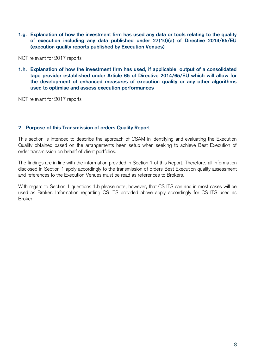<span id="page-7-0"></span>**1.g. Explanation of how the investment firm has used any data or tools relating to the quality of execution including any data published under 27(10)(a) of Directive 2014/65/EU (execution quality reports published by Execution Venues)**

NOT relevant for 2017 reports

<span id="page-7-1"></span>**1.h. Explanation of how the investment firm has used, if applicable, output of a consolidated tape provider established under Article 65 of Directive 2014/65/EU which will allow for the development of enhanced measures of execution quality or any other algorithms used to optimise and assess execution performances** 

NOT relevant for 2017 reports

#### <span id="page-7-2"></span>**2. Purpose of this Transmission of orders Quality Report**

This section is intended to describe the approach of CSAM in identifying and evaluating the Execution Quality obtained based on the arrangements been setup when seeking to achieve Best Execution of order transmission on behalf of client portfolios.

The findings are in line with the information provided in Section [1](#page-2-0) of this Report. Therefore, all information disclosed in Section [1](#page-2-0) apply accordingly to the transmission of orders Best Execution quality assessment and references to the Execution Venues must be read as references to Brokers.

With regard to Section [1](#page-2-0) questions [1.b](#page-4-0) please note, however, that CS ITS can and in most cases will be used as Broker. Information regarding CS ITS provided above apply accordingly for CS ITS used as Broker.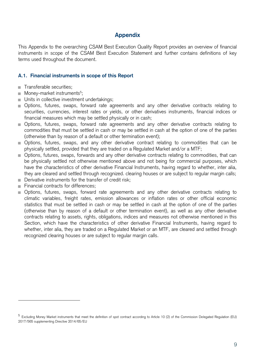# **Appendix**

<span id="page-8-0"></span>This Appendix to the overarching CSAM Best Execution Quality Report provides an overview of financial instruments in scope of the CSAM Best Execution Statement and further contains definitions of key terms used throughout the document.

# <span id="page-8-1"></span>**A.1. Financial instruments in scope of this Report**

- $\blacksquare$  Transferable securities:
- Money-market instruments<sup>5</sup>;
- Units in collective investment undertakings;
- Options, futures, swaps, forward rate agreements and any other derivative contracts relating to securities, currencies, interest rates or yields, or other derivatives instruments, financial indices or financial measures which may be settled physically or in cash;
- Options, futures, swaps, forward rate agreements and any other derivative contracts relating to commodities that must be settled in cash or may be settled in cash at the option of one of the parties (otherwise than by reason of a default or other termination event);
- Options, futures, swaps, and any other derivative contract relating to commodities that can be physically settled, provided that they are traded on a Regulated Market and/or a MTF;
- Options, futures, swaps, forwards and any other derivative contracts relating to commodities, that can be physically settled not otherwise mentioned above and not being for commercial purposes, which have the characteristics of other derivative Financial Instruments, having regard to whether, inter alia, they are cleared and settled through recognized. clearing houses or are subject to regular margin calls;
- $\blacksquare$  Derivative instruments for the transfer of credit risk;
- Financial contracts for differences:

 $\overline{a}$ 

Options, futures, swaps, forward rate agreements and any other derivative contracts relating to climatic variables, freight rates, emission allowances or inflation rates or other official economic statistics that must be settled in cash or may be settled in cash at the option of one of the parties (otherwise than by reason of a default or other termination event), as well as any other derivative contracts relating to assets, rights, obligations, indices and measures not otherwise mentioned in this Section, which have the characteristics of other derivative Financial Instruments, having regard to whether, inter alia, they are traded on a Regulated Market or an MTF, are cleared and settled through recognized clearing houses or are subject to regular margin calls.

 $^5$  Excluding Money Market instruments that meet the definition of spot contract according to Article 10 (2) of the Commission Delegated Regulation (EU). 2017/565 supplementing Directive 2014/65/EU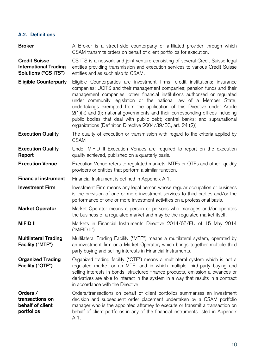# <span id="page-9-0"></span>**A.2. Definitions**

| <b>Broker</b>                                                                | A Broker is a street-side counterparty or affiliated provider through which<br>CSAM transmits orders on behalf of client portfolios for execution.                                                                                                                                                                                                                                                                                                                                                                                                                                                                           |
|------------------------------------------------------------------------------|------------------------------------------------------------------------------------------------------------------------------------------------------------------------------------------------------------------------------------------------------------------------------------------------------------------------------------------------------------------------------------------------------------------------------------------------------------------------------------------------------------------------------------------------------------------------------------------------------------------------------|
| <b>Credit Suisse</b><br><b>International Trading</b><br>Solutions ("CS ITS") | CS ITS is a network and joint venture consisting of several Credit Suisse legal<br>entities providing transmission and execution services to various Credit Suisse<br>entities and as such also to CSAM.                                                                                                                                                                                                                                                                                                                                                                                                                     |
| <b>Eligible Counterparty</b>                                                 | Eligible Counterparties are investment firms; credit institutions; insurance<br>companies; UCITS and their management companies; pension funds and their<br>management companies; other financial institutions authorized or regulated<br>under community legislation or the national law of a Member State;<br>undertakings exempted from the application of this Directive under Article<br>2(1)(k) and (l); national governments and their corresponding offices including<br>public bodies that deal with public debt; central banks; and supranational<br>organizations (Definition Directive 2004/39/EC, art. 24 (2)). |
| <b>Execution Quality</b>                                                     | The quality of execution or transmission with regard to the criteria applied by<br><b>CSAM</b>                                                                                                                                                                                                                                                                                                                                                                                                                                                                                                                               |
| <b>Execution Quality</b><br>Report                                           | Under MiFID II Execution Venues are required to report on the execution<br>quality achieved, published on a quarterly basis.                                                                                                                                                                                                                                                                                                                                                                                                                                                                                                 |
| <b>Execution Venue</b>                                                       | Execution Venue refers to regulated markets, MTFs or OTFs and other liquidity<br>providers or entities that perform a similar function.                                                                                                                                                                                                                                                                                                                                                                                                                                                                                      |
| <b>Financial instrument</b>                                                  | Financial Instrument is defined in Appendix A.1.                                                                                                                                                                                                                                                                                                                                                                                                                                                                                                                                                                             |
| <b>Investment Firm</b>                                                       | Investment Firm means any legal person whose regular occupation or business<br>is the provision of one or more investment services to third parties and/or the<br>performance of one or more investment activities on a professional basis.                                                                                                                                                                                                                                                                                                                                                                                  |
| <b>Market Operator</b>                                                       | Market Operator means a person or persons who manages and/or operates<br>the business of a regulated market and may be the regulated market itself.                                                                                                                                                                                                                                                                                                                                                                                                                                                                          |
| <b>MiFID II</b>                                                              | Markets in Financial Instruments Directive 2014/65/EU of 15 May 2014<br>("MiFID II").                                                                                                                                                                                                                                                                                                                                                                                                                                                                                                                                        |
| <b>Multilateral Trading</b><br>Facility ("MTF")                              | Multilateral Trading Facility ("MTF") means a multilateral system, operated by<br>an investment firm or a Market Operator, which brings together multiple third<br>party buying and selling interests in Financial Instruments.                                                                                                                                                                                                                                                                                                                                                                                              |
| <b>Organized Trading</b><br>Facility ("OTF")                                 | Organized trading facility ("OTF") means a multilateral system which is not a<br>regulated market or an MTF, and in which multiple third-party buying and<br>selling interests in bonds, structured finance products, emission allowances or<br>derivatives are able to interact in the system in a way that results in a contract<br>in accordance with the Directive.                                                                                                                                                                                                                                                      |
| Orders /<br>transactions on<br>behalf of client<br>portfolios                | Orders/transactions on behalf of client portfolios summarizes an investment<br>decision and subsequent order placement undertaken by a CSAM portfolio<br>manager who is the appointed attorney to execute or transmit a transaction on<br>behalf of client portfolios in any of the financial instruments listed in Appendix<br>A.1.                                                                                                                                                                                                                                                                                         |